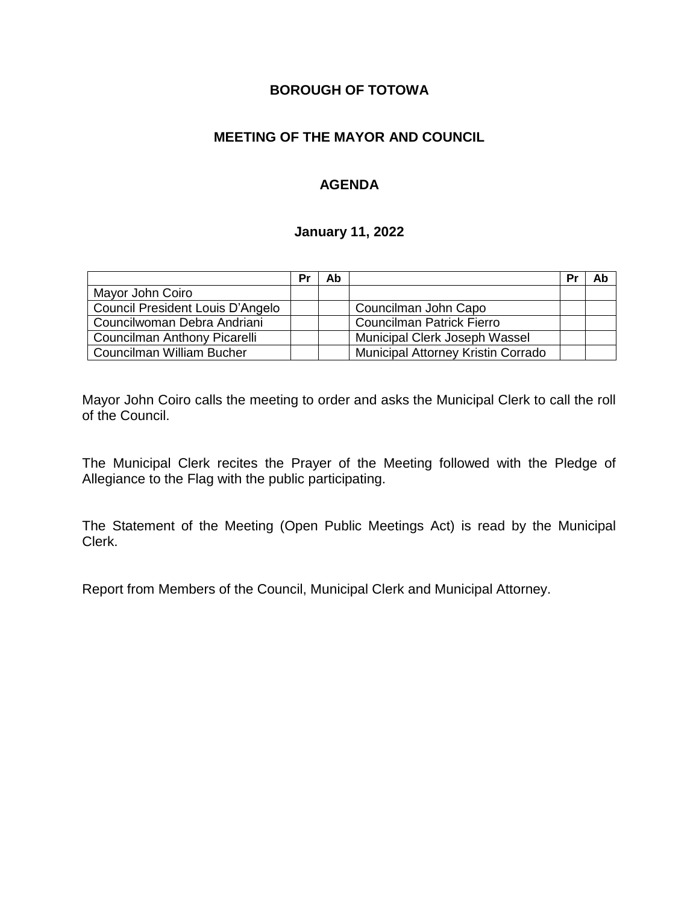# **BOROUGH OF TOTOWA**

## **MEETING OF THE MAYOR AND COUNCIL**

# **AGENDA**

#### **January 11, 2022**

|                                  | Pr | Ab |                                    | Pr | Ab |
|----------------------------------|----|----|------------------------------------|----|----|
| Mayor John Coiro                 |    |    |                                    |    |    |
| Council President Louis D'Angelo |    |    | Councilman John Capo               |    |    |
| Councilwoman Debra Andriani      |    |    | <b>Councilman Patrick Fierro</b>   |    |    |
| Councilman Anthony Picarelli     |    |    | Municipal Clerk Joseph Wassel      |    |    |
| Councilman William Bucher        |    |    | Municipal Attorney Kristin Corrado |    |    |

Mayor John Coiro calls the meeting to order and asks the Municipal Clerk to call the roll of the Council.

The Municipal Clerk recites the Prayer of the Meeting followed with the Pledge of Allegiance to the Flag with the public participating.

The Statement of the Meeting (Open Public Meetings Act) is read by the Municipal Clerk.

Report from Members of the Council, Municipal Clerk and Municipal Attorney.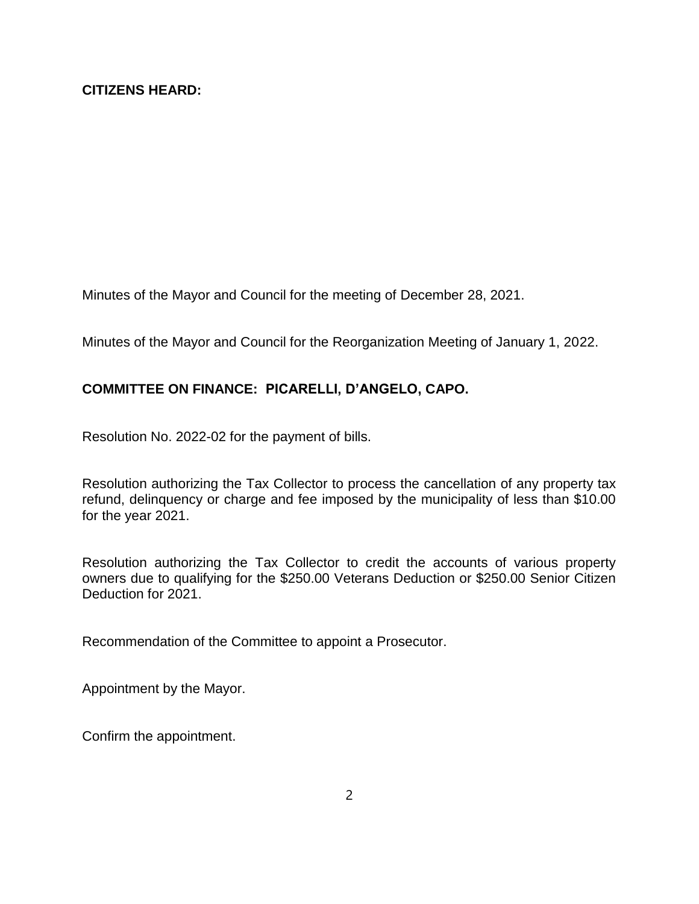Minutes of the Mayor and Council for the meeting of December 28, 2021.

Minutes of the Mayor and Council for the Reorganization Meeting of January 1, 2022.

# **COMMITTEE ON FINANCE: PICARELLI, D'ANGELO, CAPO.**

Resolution No. 2022-02 for the payment of bills.

Resolution authorizing the Tax Collector to process the cancellation of any property tax refund, delinquency or charge and fee imposed by the municipality of less than \$10.00 for the year 2021.

Resolution authorizing the Tax Collector to credit the accounts of various property owners due to qualifying for the \$250.00 Veterans Deduction or \$250.00 Senior Citizen Deduction for 2021.

Recommendation of the Committee to appoint a Prosecutor.

Appointment by the Mayor.

Confirm the appointment.